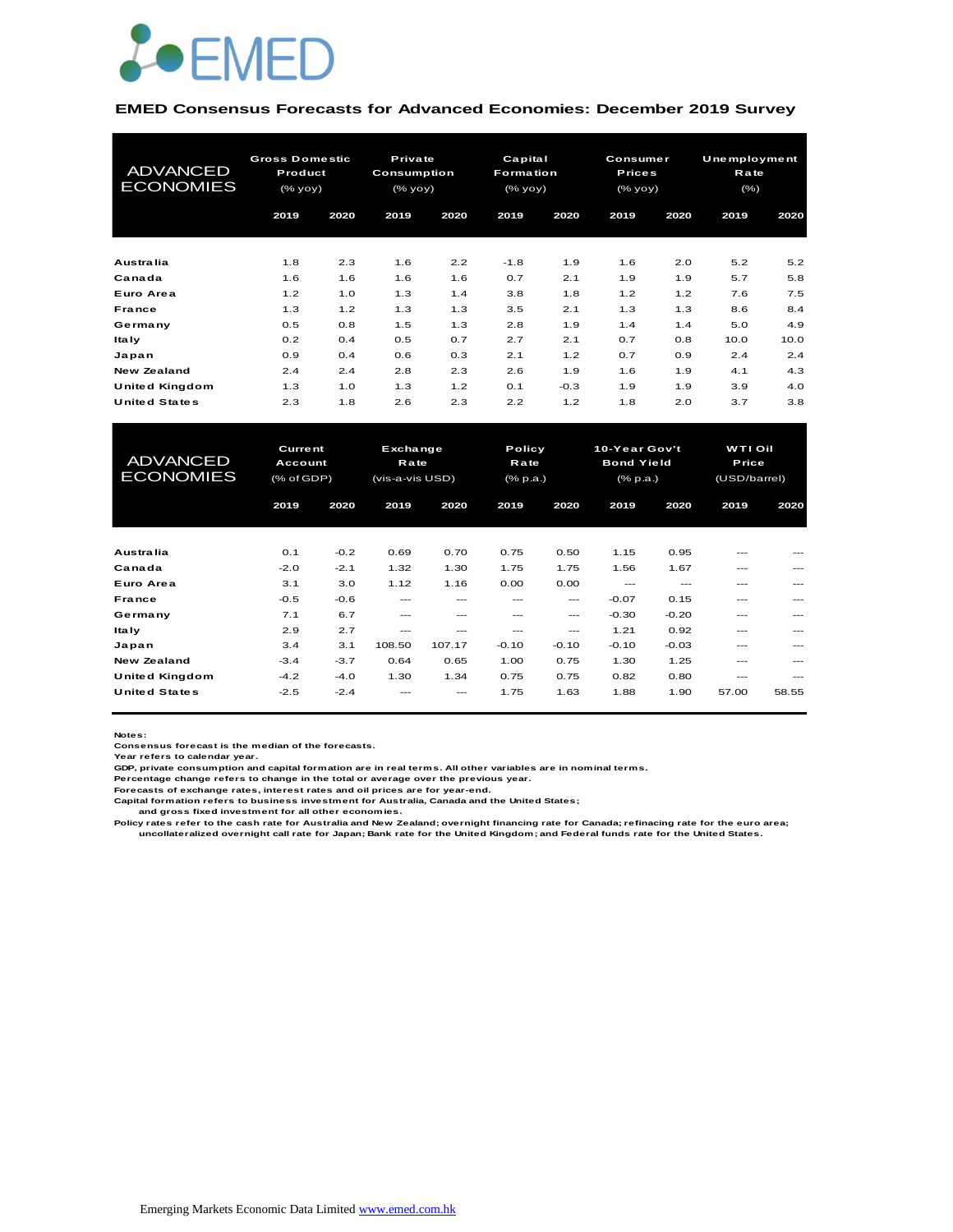

#### **EMED Consensus Forecasts for Advanced Economies: December 2019 Survey**

| <b>ADVANCED</b><br><b>ECONOMIES</b> | <b>Gross Domestic</b><br>Product<br>$(%$ yoy $)$ |      | Private<br>Consumption<br>(% yoy) |      | Capital<br><b>Formation</b><br>(% |        | Consumer<br><b>Prices</b><br>(% |      | <b>Unemployment</b><br>Rate<br>(% ) |      |
|-------------------------------------|--------------------------------------------------|------|-----------------------------------|------|-----------------------------------|--------|---------------------------------|------|-------------------------------------|------|
|                                     | 2019                                             | 2020 | 2019                              | 2020 | 2019                              | 2020   | 2019                            | 2020 | 2019                                | 2020 |
| <b>Australia</b>                    | 1.8                                              | 2.3  | 1.6                               | 2.2  | $-1.8$                            | 1.9    | 1.6                             | 2.0  | 5.2                                 | 5.2  |
| Canada                              | 1.6                                              | 1.6  | 1.6                               | 1.6  | 0.7                               | 2.1    | 1.9                             | 1.9  | 5.7                                 | 5.8  |
| Euro Area                           | 1.2                                              | 1.0  | 1.3                               | 1.4  | 3.8                               | 1.8    | 1.2                             | 1.2  | 7.6                                 | 7.5  |
| <b>France</b>                       | 1.3                                              | 1.2  | 1.3                               | 1.3  | 3.5                               | 2.1    | 1.3                             | 1.3  | 8.6                                 | 8.4  |
| Germany                             | 0.5                                              | 0.8  | 1.5                               | 1.3  | 2.8                               | 1.9    | 1.4                             | 1.4  | 5.0                                 | 4.9  |
| ltaly                               | 0.2                                              | 0.4  | 0.5                               | 0.7  | 2.7                               | 2.1    | 0.7                             | 0.8  | 10.0                                | 10.0 |
| Japan                               | 0.9                                              | 0.4  | 0.6                               | 0.3  | 2.1                               | 1.2    | 0.7                             | 0.9  | 2.4                                 | 2.4  |
| New Zealand                         | 2.4                                              | 2.4  | 2.8                               | 2.3  | 2.6                               | 1.9    | 1.6                             | 1.9  | 4.1                                 | 4.3  |
| United Kingdom                      | 1.3                                              | 1.0  | 1.3                               | 1.2  | 0.1                               | $-0.3$ | 1.9                             | 1.9  | 3.9                                 | 4.0  |
| <b>United States</b>                | 2.3                                              | 1.8  | 2.6                               | 2.3  | 2.2                               | 1.2    | 1.8                             | 2.0  | 3.7                                 | 3.8  |

| United Kingdom       | 1.3            | 1.0    | 1.3             | 1.2      | 0.1          | $-0.3$  | 1.9               | 1.9     | 3.9            | 4.0     |
|----------------------|----------------|--------|-----------------|----------|--------------|---------|-------------------|---------|----------------|---------|
| <b>United States</b> | 2.3            | 1.8    | 2.6             | 2.3      | 2.2          | 1.2     | 1.8               | 2.0     | 3.7            | 3.8     |
|                      |                |        |                 |          |              |         |                   |         |                |         |
|                      | <b>Current</b> |        |                 | Exchange |              | Policy  | 10-Year Gov't     |         | <b>WTI Oil</b> |         |
| <b>ADVANCED</b>      | <b>Account</b> |        | Rate            |          | Rate         |         | <b>Bond Yield</b> |         | Price          |         |
| <b>ECONOMIES</b>     | (% of GDP)     |        | (vis-a-vis USD) |          | $(%$ $p.a.)$ |         | $(*$ , p.a.)      |         | (USD/barrel)   |         |
|                      | 2019           | 2020   | 2019            | 2020     | 2019         | 2020    | 2019              | 2020    | 2019           | 2020    |
|                      |                |        |                 |          |              |         |                   |         |                |         |
|                      |                |        |                 |          |              |         |                   |         |                |         |
| <b>Australia</b>     | 0.1            | $-0.2$ | 0.69            | 0.70     | 0.75         | 0.50    | 1.15              | 0.95    | ---            | ---     |
| Canada               | $-2.0$         | $-2.1$ | 1.32            | 1.30     | 1.75         | 1.75    | 1.56              | 1.67    | ---            | $---$   |
| Euro Area            | 3.1            | 3.0    | 1.12            | 1.16     | 0.00         | 0.00    | $---$             | $- - -$ | ---            |         |
| France               | $-0.5$         | $-0.6$ | ---             | ---      | ---          | $---$   | $-0.07$           | 0.15    | ---            | $- - -$ |
| Germany              | 7.1            | 6.7    | ---             |          |              | ---     | $-0.30$           | $-0.20$ | ---            |         |
| <b>Italy</b>         | 2.9            | 2.7    | ---             | ---      | ---          | ---     | 1.21              | 0.92    | ---            |         |
| Japan                | 3.4            | 3.1    | 108.50          | 107.17   | $-0.10$      | $-0.10$ | $-0.10$           | $-0.03$ | ---            |         |
| <b>New Zealand</b>   | $-3.4$         | $-3.7$ | 0.64            | 0.65     | 1.00         | 0.75    | 1.30              | 1.25    | ---            |         |
| United Kingdom       | $-4.2$         | $-4.0$ | 1.30            | 1.34     | 0.75         | 0.75    | 0.82              | 0.80    | $- - -$        | $- - -$ |
| <b>United States</b> | $-2.5$         | $-2.4$ |                 | ---      | 1.75         | 1.63    | 1.88              | 1.90    | 57.00          | 58.55   |
|                      |                |        |                 |          |              |         |                   |         |                |         |

**Notes:** 

**Consensus forecast is the median of the forecasts. Year refers to calendar year.**

**GDP, private consumption and capital formation are in real terms. All other variables are in nominal terms.**

**Percentage change refers to change in the total or average over the previous year. Forecasts of exchange rates, interest rates and oil prices are for year-end.**

**Capital formation refers to business investment for Australia, Canada and the United States;**

 **and gross fixed investment for all other economies.**

Policy rates refer to the cash rate for Australia and New Zealand; overnight financing rate for Canada; refinacing rate for the euro area;<br>uncollateralized overnight call rate for Japan; Bank rate for the United Kingdom; a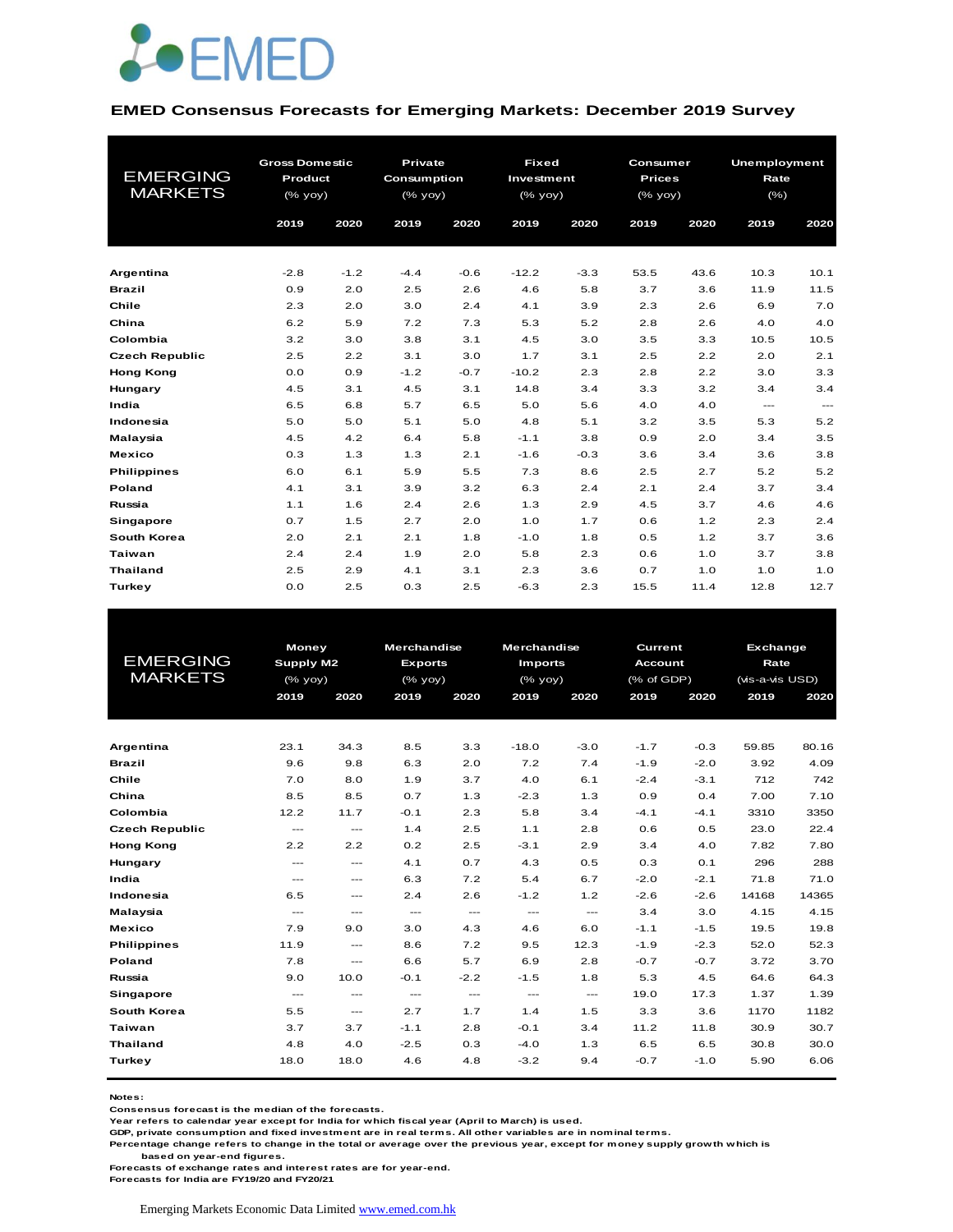

#### **EMED Consensus Forecasts for Emerging Markets: December 2019 Survey**

|                       | <b>Gross Domestic</b> |        | Private      |        | <b>Fixed</b> |        | Consumer                                       |      | <b>Unemployment</b> |               |
|-----------------------|-----------------------|--------|--------------|--------|--------------|--------|------------------------------------------------|------|---------------------|---------------|
| <b>EMERGING</b>       | Product               |        | Consumption  |        | Investment   |        | <b>Prices</b>                                  |      | Rate                |               |
| <b>MARKETS</b>        | (% yoy)               |        | $(%$ (% yoy) |        | (% yoy)      |        | $(% \mathsf{A}\rightarrow \mathsf{B})$ (% yoy) |      | $(\% )$             |               |
|                       | 2019                  | 2020   | 2019         | 2020   | 2019         | 2020   | 2019                                           | 2020 | 2019                | 2020          |
|                       |                       |        |              |        |              |        |                                                |      |                     |               |
|                       |                       |        |              |        |              |        |                                                |      |                     |               |
| Argentina             | $-2.8$                | $-1.2$ | $-4.4$       | $-0.6$ | $-12.2$      | $-3.3$ | 53.5                                           | 43.6 | 10.3                | 10.1          |
| <b>Brazil</b>         | 0.9                   | 2.0    | 2.5          | 2.6    | 4.6          | 5.8    | 3.7                                            | 3.6  | 11.9                | 11.5          |
| Chile                 | 2.3                   | 2.0    | 3.0          | 2.4    | 4.1          | 3.9    | 2.3                                            | 2.6  | 6.9                 | 7.0           |
| China                 | 6.2                   | 5.9    | 7.2          | 7.3    | 5.3          | 5.2    | 2.8                                            | 2.6  | 4.0                 | 4.0           |
| Colombia              | 3.2                   | 3.0    | 3.8          | 3.1    | 4.5          | 3.0    | 3.5                                            | 3.3  | 10.5                | 10.5          |
| <b>Czech Republic</b> | 2.5                   | 2.2    | 3.1          | 3.0    | 1.7          | 3.1    | 2.5                                            | 2.2  | 2.0                 | 2.1           |
| <b>Hong Kong</b>      | 0.0                   | 0.9    | $-1.2$       | $-0.7$ | $-10.2$      | 2.3    | 2.8                                            | 2.2  | 3.0                 | 3.3           |
| Hungary               | 4.5                   | 3.1    | 4.5          | 3.1    | 14.8         | 3.4    | 3.3                                            | 3.2  | 3.4                 | 3.4           |
| India                 | 6.5                   | 6.8    | 5.7          | 6.5    | 5.0          | 5.6    | 4.0                                            | 4.0  | $\frac{1}{2}$       | $\sim$ $\sim$ |
| Indonesia             | 5.0                   | 5.0    | 5.1          | 5.0    | 4.8          | 5.1    | 3.2                                            | 3.5  | 5.3                 | 5.2           |
| Malaysia              | 4.5                   | 4.2    | 6.4          | 5.8    | $-1.1$       | 3.8    | 0.9                                            | 2.0  | 3.4                 | 3.5           |
| <b>Mexico</b>         | 0.3                   | 1.3    | 1.3          | 2.1    | $-1.6$       | $-0.3$ | 3.6                                            | 3.4  | 3.6                 | 3.8           |
| <b>Philippines</b>    | 6.0                   | 6.1    | 5.9          | 5.5    | 7.3          | 8.6    | 2.5                                            | 2.7  | 5.2                 | 5.2           |
| Poland                | 4.1                   | 3.1    | 3.9          | 3.2    | 6.3          | 2.4    | 2.1                                            | 2.4  | 3.7                 | 3.4           |
| Russia                | 1.1                   | 1.6    | 2.4          | 2.6    | 1.3          | 2.9    | 4.5                                            | 3.7  | 4.6                 | 4.6           |
| Singapore             | 0.7                   | 1.5    | 2.7          | 2.0    | 1.0          | 1.7    | 0.6                                            | 1.2  | 2.3                 | 2.4           |
| South Korea           | 2.0                   | 2.1    | 2.1          | 1.8    | $-1.0$       | 1.8    | 0.5                                            | 1.2  | 3.7                 | 3.6           |
| <b>Taiwan</b>         | 2.4                   | 2.4    | 1.9          | 2.0    | 5.8          | 2.3    | 0.6                                            | 1.0  | 3.7                 | 3.8           |
| <b>Thailand</b>       | 2.5                   | 2.9    | 4.1          | 3.1    | 2.3          | 3.6    | 0.7                                            | 1.0  | 1.0                 | 1.0           |
| <b>Turkey</b>         | 0.0                   | 2.5    | 0.3          | 2.5    | $-6.3$       | 2.3    | 15.5                                           | 11.4 | 12.8                | 12.7          |

|                       | <b>Money</b>  |                        | <b>Merchandise</b> |               | <b>Merchandise</b>                  |               |                | <b>Current</b><br><b>Exchange</b> |                 |       |
|-----------------------|---------------|------------------------|--------------------|---------------|-------------------------------------|---------------|----------------|-----------------------------------|-----------------|-------|
| <b>EMERGING</b>       | Supply M2     |                        | <b>Exports</b>     |               | <b>Imports</b>                      |               | <b>Account</b> |                                   | Rate            |       |
| <b>MARKETS</b>        | (% yoy)       |                        | $(%$ (% yoy)       |               | (% yoy)                             |               | (% of GDP)     |                                   | (vis-a-vis USD) |       |
|                       | 2019          | 2020                   | 2019               | 2020          | 2019                                | 2020          | 2019           | 2020                              | 2019            | 2020  |
|                       |               |                        |                    |               |                                     |               |                |                                   |                 |       |
|                       |               |                        |                    |               |                                     |               |                |                                   |                 |       |
| Argentina             | 23.1          | 34.3                   | 8.5                | 3.3           | $-18.0$                             | $-3.0$        | $-1.7$         | $-0.3$                            | 59.85           | 80.16 |
| <b>Brazil</b>         | 9.6           | 9.8                    | 6.3                | 2.0           | 7.2                                 | 7.4           | $-1.9$         | $-2.0$                            | 3.92            | 4.09  |
| Chile                 | 7.0           | 8.0                    | 1.9                | 3.7           | 4.0                                 | 6.1           | $-2.4$         | $-3.1$                            | 712             | 742   |
| China                 | 8.5           | 8.5                    | 0.7                | 1.3           | $-2.3$                              | 1.3           | 0.9            | 0.4                               | 7.00            | 7.10  |
| Colombia              | 12.2          | 11.7                   | $-0.1$             | 2.3           | 5.8                                 | 3.4           | $-4.1$         | $-4.1$                            | 3310            | 3350  |
| <b>Czech Republic</b> | $\cdots$      | $\qquad \qquad \cdots$ | 1.4                | 2.5           | 1.1                                 | 2.8           | 0.6            | 0.5                               | 23.0            | 22.4  |
| <b>Hong Kong</b>      | 2.2           | 2.2                    | 0.2                | 2.5           | $-3.1$                              | 2.9           | 3.4            | 4.0                               | 7.82            | 7.80  |
| Hungary               | $---$         | $---$                  | 4.1                | 0.7           | 4.3                                 | 0.5           | 0.3            | 0.1                               | 296             | 288   |
| India                 | $\cdots$      | $\qquad \qquad \cdots$ | 6.3                | 7.2           | 5.4                                 | 6.7           | $-2.0$         | $-2.1$                            | 71.8            | 71.0  |
| Indonesia             | 6.5           | $---$                  | 2.4                | 2.6           | $-1.2$                              | 1.2           | $-2.6$         | $-2.6$                            | 14168           | 14365 |
| Malaysia              | $\frac{1}{2}$ | ---                    | $\frac{1}{2}$      | $\frac{1}{2}$ | $\frac{1}{2}$                       | $\frac{1}{2}$ | 3.4            | 3.0                               | 4.15            | 4.15  |
| <b>Mexico</b>         | 7.9           | 9.0                    | 3.0                | 4.3           | 4.6                                 | 6.0           | $-1.1$         | $-1.5$                            | 19.5            | 19.8  |
| <b>Philippines</b>    | 11.9          | $\qquad \qquad \cdots$ | 8.6                | 7.2           | 9.5                                 | 12.3          | $-1.9$         | $-2.3$                            | 52.0            | 52.3  |
| <b>Poland</b>         | 7.8           | $\sim$ $\sim$          | 6.6                | 5.7           | 6.9                                 | 2.8           | $-0.7$         | $-0.7$                            | 3.72            | 3.70  |
| Russia                | 9.0           | 10.0                   | $-0.1$             | $-2.2$        | $-1.5$                              | 1.8           | 5.3            | 4.5                               | 64.6            | 64.3  |
| Singapore             | $\frac{1}{2}$ | $---$                  | $\cdots$           | $\cdots$      | $\hspace{0.05cm}---\hspace{0.05cm}$ | $\cdots$      | 19.0           | 17.3                              | 1.37            | 1.39  |
| South Korea           | 5.5           | $\qquad \qquad \cdots$ | 2.7                | 1.7           | 1.4                                 | 1.5           | 3.3            | 3.6                               | 1170            | 1182  |
| Taiwan                | 3.7           | 3.7                    | $-1.1$             | 2.8           | $-0.1$                              | 3.4           | 11.2           | 11.8                              | 30.9            | 30.7  |
| <b>Thailand</b>       | 4.8           | 4.0                    | $-2.5$             | 0.3           | $-4.0$                              | 1.3           | 6.5            | 6.5                               | 30.8            | 30.0  |
| Turkey                | 18.0          | 18.0                   | 4.6                | 4.8           | $-3.2$                              | 9.4           | $-0.7$         | $-1.0$                            | 5.90            | 6.06  |
|                       |               |                        |                    |               |                                     |               |                |                                   |                 |       |

**Notes:** 

**Consensus forecast is the median of the forecasts.**

**Year refers to calendar year except for India for which fiscal year (April to March) is used.**

**GDP, private consumption and fixed investment are in real terms. All other variables are in nominal terms.**

**Percentage change refers to change in the total or average over the previous year, except for money supply growth which is** 

 **based on year-end figures.**

**Forecasts of exchange rates and interest rates are for year-end.**

**Forecasts for India are FY19/20 and FY20/21**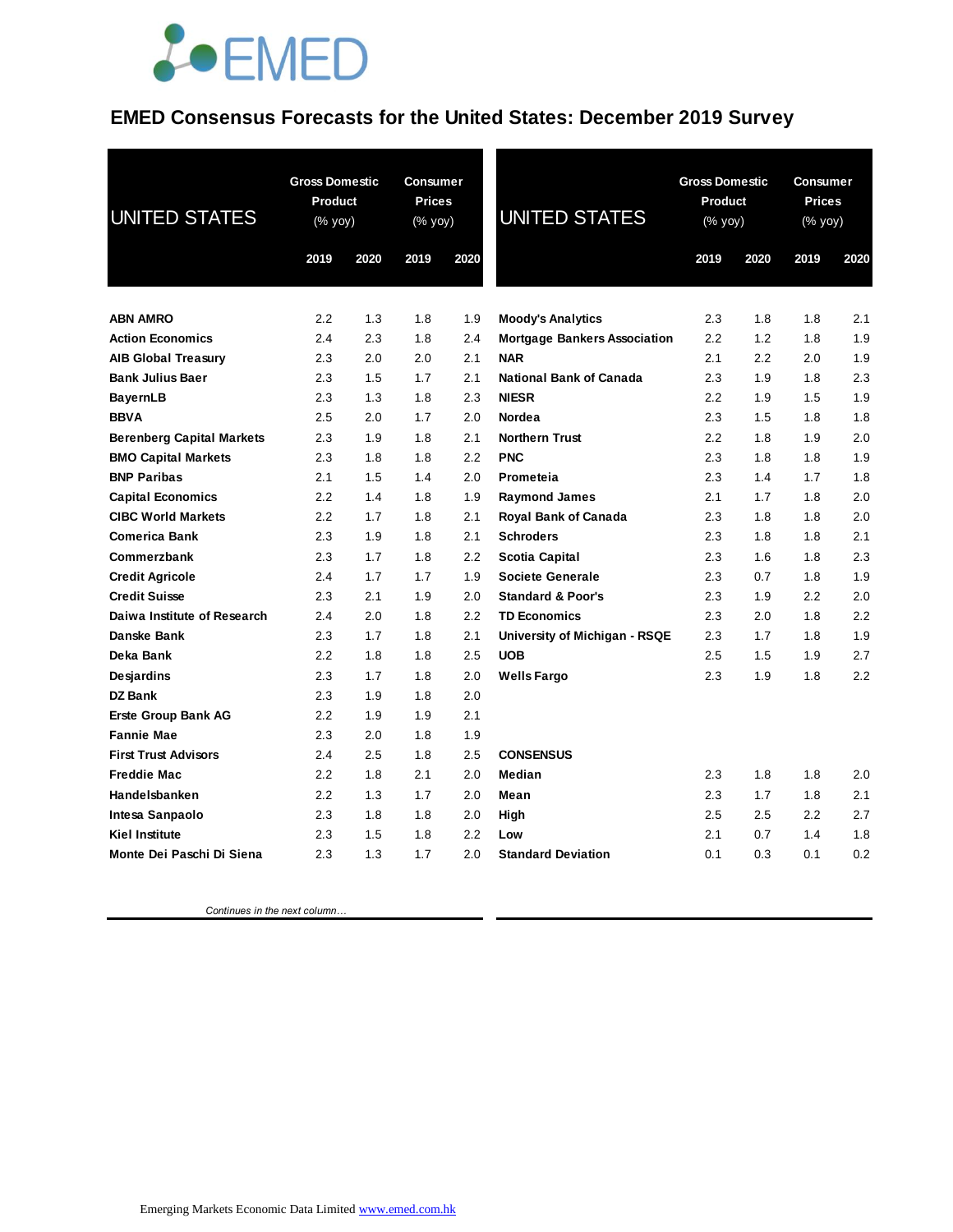## *<u>LOEMED</u>*

#### **EMED Consensus Forecasts for the United States: December 2019 Survey**

| <b>UNITED STATES</b>                             | <b>Gross Domestic</b><br>Product<br>(% yoy) |            | <b>Consumer</b><br><b>Prices</b><br>(% yoy) |            | <b>UNITED STATES</b>                | <b>Gross Domestic</b><br>Product<br>(% yoy) |            | <b>Consumer</b><br><b>Prices</b><br>(% yoy) |            |
|--------------------------------------------------|---------------------------------------------|------------|---------------------------------------------|------------|-------------------------------------|---------------------------------------------|------------|---------------------------------------------|------------|
|                                                  | 2019                                        | 2020       | 2019                                        | 2020       |                                     | 2019                                        | 2020       | 2019                                        | 2020       |
|                                                  |                                             |            |                                             |            |                                     |                                             |            |                                             |            |
| <b>ABN AMRO</b>                                  | 2.2                                         | 1.3        | 1.8                                         | 1.9        | <b>Moody's Analytics</b>            | 2.3                                         | 1.8        | 1.8                                         | 2.1        |
| <b>Action Economics</b>                          | 2.4                                         | 2.3        | 1.8                                         | 2.4        | <b>Mortgage Bankers Association</b> | 2.2                                         | 1.2        | 1.8                                         | 1.9        |
| <b>AIB Global Treasury</b>                       | 2.3                                         | 2.0        | 2.0                                         | 2.1        | <b>NAR</b>                          | 2.1                                         | 2.2        | 2.0                                         | 1.9        |
| <b>Bank Julius Baer</b>                          | 2.3                                         | 1.5        | 1.7                                         | 2.1        | <b>National Bank of Canada</b>      | 2.3                                         | 1.9        | 1.8                                         | 2.3        |
| <b>BayernLB</b>                                  | 2.3                                         | 1.3        | 1.8                                         | 2.3        | <b>NIESR</b>                        | 2.2                                         | 1.9        | 1.5                                         | 1.9        |
| <b>BBVA</b>                                      | 2.5                                         | 2.0        | 1.7                                         | 2.0        | Nordea                              | 2.3                                         | 1.5        | 1.8                                         | 1.8        |
| <b>Berenberg Capital Markets</b>                 | 2.3                                         | 1.9        | 1.8                                         | 2.1        | <b>Northern Trust</b>               | 2.2                                         | 1.8        | 1.9                                         | 2.0        |
| <b>BMO Capital Markets</b><br><b>BNP Paribas</b> | 2.3<br>2.1                                  | 1.8<br>1.5 | 1.8<br>1.4                                  | 2.2<br>2.0 | <b>PNC</b><br>Prometeia             | 2.3<br>2.3                                  | 1.8<br>1.4 | 1.8<br>1.7                                  | 1.9<br>1.8 |
| <b>Capital Economics</b>                         | 2.2                                         | 1.4        | 1.8                                         | 1.9        | <b>Raymond James</b>                | 2.1                                         | 1.7        | 1.8                                         | 2.0        |
| <b>CIBC World Markets</b>                        | 2.2                                         | 1.7        | 1.8                                         | 2.1        | Royal Bank of Canada                | 2.3                                         | 1.8        | 1.8                                         | 2.0        |
| <b>Comerica Bank</b>                             | 2.3                                         | 1.9        | 1.8                                         | 2.1        | <b>Schroders</b>                    | 2.3                                         | 1.8        | 1.8                                         | 2.1        |
| Commerzbank                                      | 2.3                                         | 1.7        | 1.8                                         | 2.2        | Scotia Capital                      | 2.3                                         | 1.6        | 1.8                                         | 2.3        |
| <b>Credit Agricole</b>                           | 2.4                                         | 1.7        | 1.7                                         | 1.9        | <b>Societe Generale</b>             | 2.3                                         | 0.7        | 1.8                                         | 1.9        |
| <b>Credit Suisse</b>                             | 2.3                                         | 2.1        | 1.9                                         | 2.0        | <b>Standard &amp; Poor's</b>        | 2.3                                         | 1.9        | 2.2                                         | 2.0        |
| Daiwa Institute of Research                      | 2.4                                         | 2.0        | 1.8                                         | 2.2        | <b>TD Economics</b>                 | 2.3                                         | 2.0        | 1.8                                         | 2.2        |
| Danske Bank                                      | 2.3                                         | 1.7        | 1.8                                         | 2.1        | University of Michigan - RSQE       | 2.3                                         | 1.7        | 1.8                                         | 1.9        |
| Deka Bank                                        | 2.2                                         | 1.8        | 1.8                                         | 2.5        | <b>UOB</b>                          | 2.5                                         | 1.5        | 1.9                                         | 2.7        |
| Desjardins                                       | 2.3                                         | 1.7        | 1.8                                         | 2.0        | <b>Wells Fargo</b>                  | 2.3                                         | 1.9        | 1.8                                         | 2.2        |
| DZ Bank                                          | 2.3                                         | 1.9        | 1.8                                         | 2.0        |                                     |                                             |            |                                             |            |
| <b>Erste Group Bank AG</b>                       | 2.2                                         | 1.9        | 1.9                                         | 2.1        |                                     |                                             |            |                                             |            |
| <b>Fannie Mae</b>                                | 2.3                                         | 2.0        | 1.8                                         | 1.9        |                                     |                                             |            |                                             |            |
| <b>First Trust Advisors</b>                      | 2.4                                         | 2.5        | 1.8                                         | 2.5        | <b>CONSENSUS</b>                    |                                             |            |                                             |            |
| <b>Freddie Mac</b>                               | 2.2                                         | 1.8        | 2.1                                         | 2.0        | Median                              | 2.3                                         | 1.8        | 1.8                                         | 2.0        |
| Handelsbanken                                    | 2.2                                         | 1.3        | 1.7                                         | 2.0        | Mean                                | 2.3                                         | 1.7        | 1.8                                         | 2.1        |
| Intesa Sanpaolo                                  | 2.3                                         | 1.8        | 1.8                                         | 2.0        | High                                | 2.5                                         | 2.5        | 2.2                                         | 2.7        |
| <b>Kiel Institute</b>                            | 2.3                                         | 1.5        | 1.8                                         | 2.2        | Low                                 | 2.1                                         | 0.7        | 1.4                                         | 1.8        |
| Monte Dei Paschi Di Siena                        | 2.3                                         | 1.3        | 1.7                                         | 2.0        | <b>Standard Deviation</b>           | 0.1                                         | 0.3        | 0.1                                         | 0.2        |

 *Continues in the next column…*

Emerging Markets Economic Data Limited www.emed.com.hk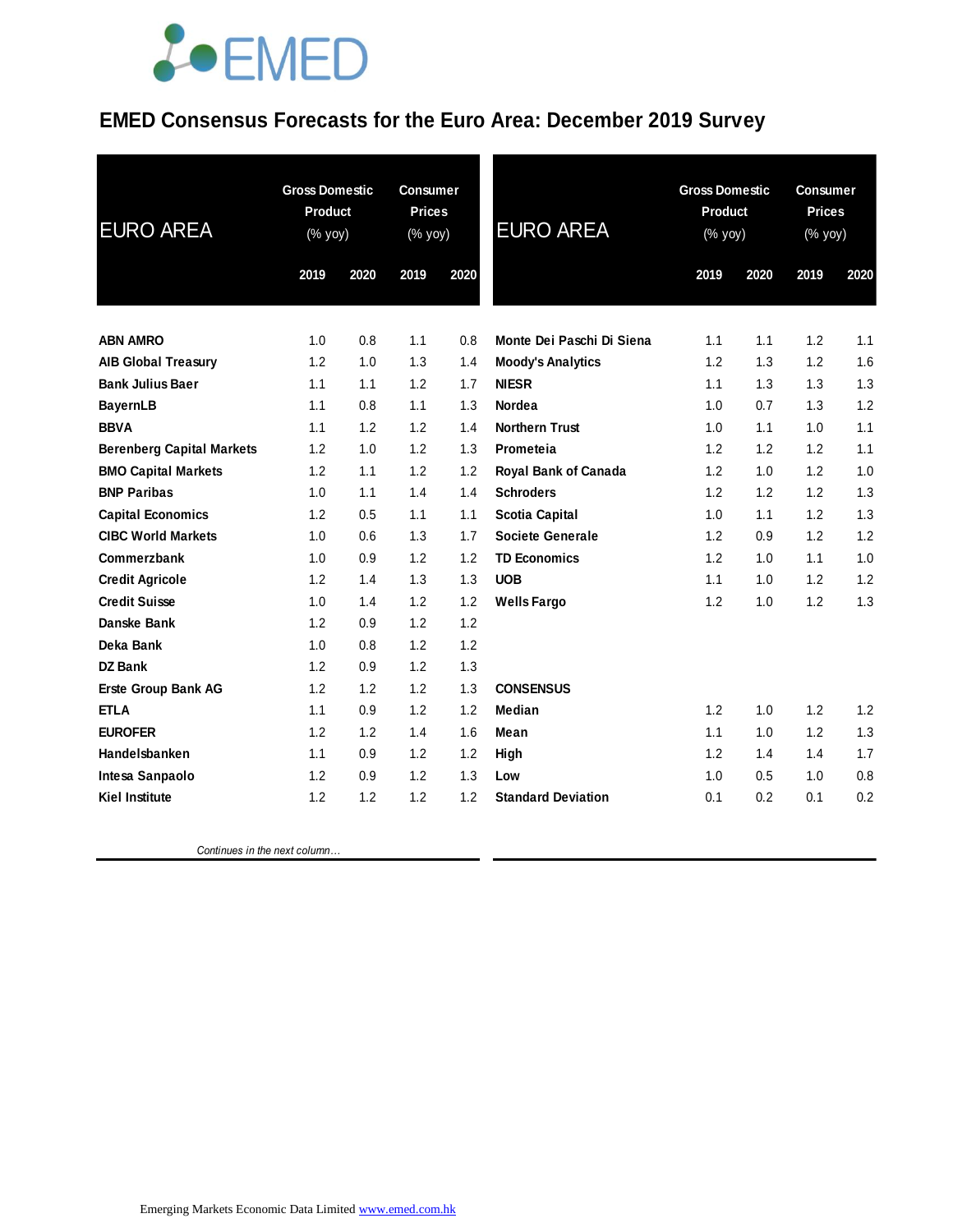## **JOEMED**

### **EMED Consensus Forecasts for the Euro Area: December 2019 Survey**

| <b>EURO AREA</b>                 | <b>Gross Domestic</b><br>Product<br>(% yoy) |      | <b>Consumer</b><br><b>Prices</b><br>(% yoy) |      | <b>EURO AREA</b>            | <b>Gross Domestic</b><br><b>Product</b><br>(% yoy) |      | <b>Consumer</b><br><b>Prices</b><br>(% yoy) |      |
|----------------------------------|---------------------------------------------|------|---------------------------------------------|------|-----------------------------|----------------------------------------------------|------|---------------------------------------------|------|
|                                  | 2019                                        | 2020 | 2019                                        | 2020 |                             | 2019                                               | 2020 | 2019                                        | 2020 |
| <b>ABN AMRO</b>                  | 1.0                                         | 0.8  | 1.1                                         | 0.8  | Monte Dei Paschi Di Siena   | 1.1                                                | 1.1  | 1.2                                         | 1.1  |
| <b>AIB Global Treasury</b>       | 1.2                                         | 1.0  | 1.3                                         | 1.4  | <b>Moody's Analytics</b>    | 1.2                                                | 1.3  | 1.2                                         | 1.6  |
| <b>Bank Julius Baer</b>          | 1.1                                         | 1.1  | 1.2                                         | 1.7  | <b>NIESR</b>                | 1.1                                                | 1.3  | 1.3                                         | 1.3  |
| <b>BayernLB</b>                  | 1.1                                         | 0.8  | 1.1                                         | 1.3  | <b>Nordea</b>               | 1.0                                                | 0.7  | 1.3                                         | 1.2  |
| <b>BBVA</b>                      | 1.1                                         | 1.2  | 1.2                                         | 1.4  | <b>Northern Trust</b>       | 1.0                                                | 1.1  | 1.0                                         | 1.1  |
| <b>Berenberg Capital Markets</b> | 1.2                                         | 1.0  | 1.2                                         | 1.3  | Prometeia                   | 1.2                                                | 1.2  | 1.2                                         | 1.1  |
| <b>BMO Capital Markets</b>       | 1.2                                         | 1.1  | 1.2                                         | 1.2  | <b>Royal Bank of Canada</b> | 1.2                                                | 1.0  | 1.2                                         | 1.0  |
| <b>BNP Paribas</b>               | 1.0                                         | 1.1  | 1.4                                         | 1.4  | <b>Schroders</b>            | 1.2                                                | 1.2  | 1.2                                         | 1.3  |
| <b>Capital Economics</b>         | 1.2                                         | 0.5  | 1.1                                         | 1.1  | <b>Scotia Capital</b>       | 1.0                                                | 1.1  | 1.2                                         | 1.3  |
| <b>CIBC World Markets</b>        | 1.0                                         | 0.6  | 1.3                                         | 1.7  | <b>Societe Generale</b>     | 1.2                                                | 0.9  | 1.2                                         | 1.2  |
| Commerzbank                      | 1.0                                         | 0.9  | 1.2                                         | 1.2  | <b>TD Economics</b>         | 1.2                                                | 1.0  | 1.1                                         | 1.0  |
| <b>Credit Agricole</b>           | 1.2                                         | 1.4  | 1.3                                         | 1.3  | <b>UOB</b>                  | 1.1                                                | 1.0  | 1.2                                         | 1.2  |
| <b>Credit Suisse</b>             | 1.0                                         | 1.4  | 1.2                                         | 1.2  | <b>Wells Fargo</b>          | 1.2                                                | 1.0  | 1.2                                         | 1.3  |
| Danske Bank                      | 1.2                                         | 0.9  | 1.2                                         | 1.2  |                             |                                                    |      |                                             |      |
| Deka Bank                        | 1.0                                         | 0.8  | 1.2                                         | 1.2  |                             |                                                    |      |                                             |      |
| <b>DZ Bank</b>                   | 1.2                                         | 0.9  | 1.2                                         | 1.3  |                             |                                                    |      |                                             |      |
| <b>Erste Group Bank AG</b>       | 1.2                                         | 1.2  | 1.2                                         | 1.3  | <b>CONSENSUS</b>            |                                                    |      |                                             |      |
| <b>ETLA</b>                      | 1.1                                         | 0.9  | 1.2                                         | 1.2  | Median                      | 1.2                                                | 1.0  | 1.2                                         | 1.2  |
| <b>EUROFER</b>                   | 1.2                                         | 1.2  | 1.4                                         | 1.6  | Mean                        | 1.1                                                | 1.0  | 1.2                                         | 1.3  |
| Handelsbanken                    | 1.1                                         | 0.9  | 1.2                                         | 1.2  | High                        | 1.2                                                | 1.4  | 1.4                                         | 1.7  |
| Intesa Sanpaolo                  | 1.2                                         | 0.9  | 1.2                                         | 1.3  | Low                         | 1.0                                                | 0.5  | 1.0                                         | 0.8  |
| <b>Kiel Institute</b>            | 1.2                                         | 1.2  | 1.2                                         | 1.2  | <b>Standard Deviation</b>   | 0.1                                                | 0.2  | 0.1                                         | 0.2  |
|                                  |                                             |      |                                             |      |                             |                                                    |      |                                             |      |

 *Continues in the next column…*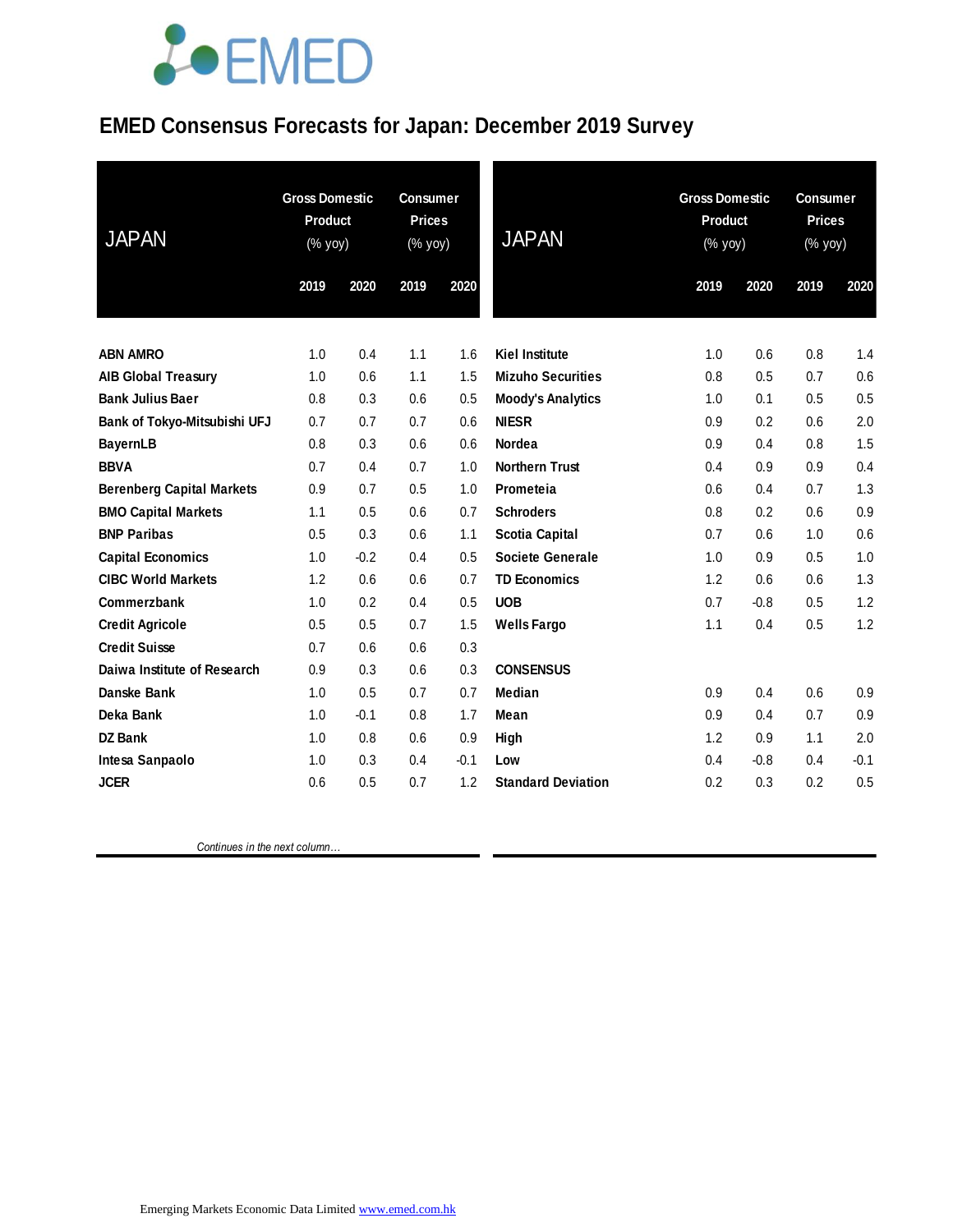# LOEMED

### **EMED Consensus Forecasts for Japan: December 2019 Survey**

| <b>JAPAN</b>                     | <b>Gross Domestic</b><br><b>Consumer</b><br>Product<br><b>Prices</b><br>(% yoy)<br>(% yoy)<br>2020<br>2019<br>2019 |        | 2020 | <b>JAPAN</b> | <b>Gross Domestic</b><br>Product<br>$(% \mathsf{Y}^{\prime }\mathsf{Y}^{\prime }\mathsf{Y}^{\prime })$<br>2020<br>2019 |     | <b>Consumer</b><br><b>Prices</b><br>$(% \mathsf{Y}^{\prime }\mathsf{Y}^{\prime }\mathsf{Y}^{\prime })$<br>2019<br>2020 |     |        |
|----------------------------------|--------------------------------------------------------------------------------------------------------------------|--------|------|--------------|------------------------------------------------------------------------------------------------------------------------|-----|------------------------------------------------------------------------------------------------------------------------|-----|--------|
|                                  |                                                                                                                    |        |      |              |                                                                                                                        |     |                                                                                                                        |     |        |
| <b>ABN AMRO</b>                  | 1.0                                                                                                                | 0.4    | 1.1  | 1.6          | <b>Kiel Institute</b>                                                                                                  | 1.0 | 0.6                                                                                                                    | 0.8 | 1.4    |
| <b>AIB Global Treasury</b>       | 1.0                                                                                                                | 0.6    | 1.1  | 1.5          | <b>Mizuho Securities</b>                                                                                               | 0.8 | 0.5                                                                                                                    | 0.7 | 0.6    |
| <b>Bank Julius Baer</b>          | 0.8                                                                                                                | 0.3    | 0.6  | 0.5          | <b>Moody's Analytics</b>                                                                                               | 1.0 | 0.1                                                                                                                    | 0.5 | 0.5    |
| Bank of Tokyo-Mitsubishi UFJ     | 0.7                                                                                                                | 0.7    | 0.7  | 0.6          | <b>NIESR</b>                                                                                                           | 0.9 | 0.2                                                                                                                    | 0.6 | 2.0    |
| <b>BayernLB</b>                  | 0.8                                                                                                                | 0.3    | 0.6  | 0.6          | <b>Nordea</b>                                                                                                          | 0.9 | 0.4                                                                                                                    | 0.8 | 1.5    |
| <b>BBVA</b>                      | 0.7                                                                                                                | 0.4    | 0.7  | 1.0          | <b>Northern Trust</b>                                                                                                  | 0.4 | 0.9                                                                                                                    | 0.9 | 0.4    |
| <b>Berenberg Capital Markets</b> | 0.9                                                                                                                | 0.7    | 0.5  | 1.0          | Prometeia                                                                                                              | 0.6 | 0.4                                                                                                                    | 0.7 | 1.3    |
| <b>BMO Capital Markets</b>       | 1.1                                                                                                                | 0.5    | 0.6  | 0.7          | <b>Schroders</b>                                                                                                       | 0.8 | 0.2                                                                                                                    | 0.6 | 0.9    |
| <b>BNP Paribas</b>               | 0.5                                                                                                                | 0.3    | 0.6  | 1.1          | <b>Scotia Capital</b>                                                                                                  | 0.7 | 0.6                                                                                                                    | 1.0 | 0.6    |
| <b>Capital Economics</b>         | 1.0                                                                                                                | $-0.2$ | 0.4  | 0.5          | Societe Generale                                                                                                       | 1.0 | 0.9                                                                                                                    | 0.5 | 1.0    |
| <b>CIBC World Markets</b>        | 1.2                                                                                                                | 0.6    | 0.6  | 0.7          | <b>TD Economics</b>                                                                                                    | 1.2 | 0.6                                                                                                                    | 0.6 | 1.3    |
| Commerzbank                      | 1.0                                                                                                                | 0.2    | 0.4  | 0.5          | <b>UOB</b>                                                                                                             | 0.7 | $-0.8$                                                                                                                 | 0.5 | 1.2    |
| <b>Credit Agricole</b>           | 0.5                                                                                                                | 0.5    | 0.7  | 1.5          | <b>Wells Fargo</b>                                                                                                     | 1.1 | 0.4                                                                                                                    | 0.5 | 1.2    |
| <b>Credit Suisse</b>             | 0.7                                                                                                                | 0.6    | 0.6  | 0.3          |                                                                                                                        |     |                                                                                                                        |     |        |
| Daiwa Institute of Research      | 0.9                                                                                                                | 0.3    | 0.6  | 0.3          | <b>CONSENSUS</b>                                                                                                       |     |                                                                                                                        |     |        |
| Danske Bank                      | 1.0                                                                                                                | 0.5    | 0.7  | 0.7          | Median                                                                                                                 | 0.9 | 0.4                                                                                                                    | 0.6 | 0.9    |
| Deka Bank                        | 1.0                                                                                                                | $-0.1$ | 0.8  | 1.7          | Mean                                                                                                                   | 0.9 | 0.4                                                                                                                    | 0.7 | 0.9    |
| <b>DZ Bank</b>                   | 1.0                                                                                                                | 0.8    | 0.6  | 0.9          | High                                                                                                                   | 1.2 | 0.9                                                                                                                    | 1.1 | 2.0    |
| Intesa Sanpaolo                  | 1.0                                                                                                                | 0.3    | 0.4  | $-0.1$       | Low                                                                                                                    | 0.4 | $-0.8$                                                                                                                 | 0.4 | $-0.1$ |
| <b>JCER</b>                      | 0.6                                                                                                                | 0.5    | 0.7  | 1.2          | <b>Standard Deviation</b>                                                                                              | 0.2 | 0.3                                                                                                                    | 0.2 | 0.5    |

 *Continues in the next column…*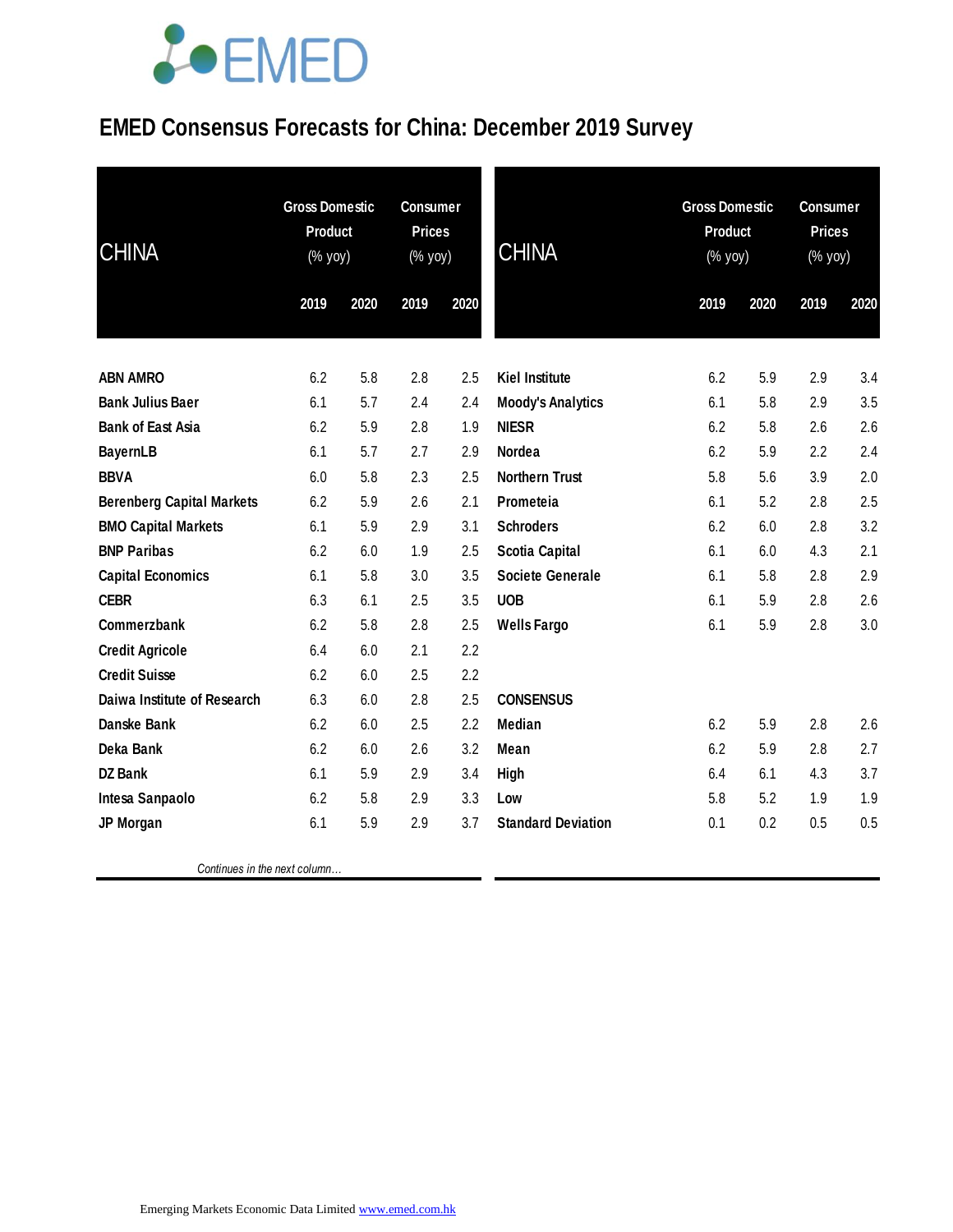# **JOEMED**

### **EMED Consensus Forecasts for China: December 2019 Survey**

| <b>CHINA</b>                     | <b>Gross Domestic</b><br><b>Product</b><br>(% yoy) |      | <b>Consumer</b><br><b>Prices</b><br>(% yoy) |      | <b>CHINA</b>              | <b>Gross Domestic</b><br><b>Product</b><br>(% yoy) |      | <b>Consumer</b><br><b>Prices</b><br>(% yoy) |      |
|----------------------------------|----------------------------------------------------|------|---------------------------------------------|------|---------------------------|----------------------------------------------------|------|---------------------------------------------|------|
|                                  | 2019                                               | 2020 | 2019                                        | 2020 |                           | 2019                                               | 2020 | 2019                                        | 2020 |
| <b>ABN AMRO</b>                  | 6.2                                                | 5.8  | 2.8                                         | 2.5  | <b>Kiel Institute</b>     | 6.2                                                | 5.9  | 2.9                                         | 3.4  |
| <b>Bank Julius Baer</b>          | 6.1                                                | 5.7  | 2.4                                         | 2.4  | <b>Moody's Analytics</b>  | 6.1                                                | 5.8  | 2.9                                         | 3.5  |
| <b>Bank of East Asia</b>         | 6.2                                                | 5.9  | 2.8                                         | 1.9  | <b>NIESR</b>              | 6.2                                                | 5.8  | 2.6                                         | 2.6  |
| <b>BayernLB</b>                  | 6.1                                                | 5.7  | 2.7                                         | 2.9  | <b>Nordea</b>             | 6.2                                                | 5.9  | 2.2                                         | 2.4  |
| <b>BBVA</b>                      | 6.0                                                | 5.8  | 2.3                                         | 2.5  | <b>Northern Trust</b>     | 5.8                                                | 5.6  | 3.9                                         | 2.0  |
| <b>Berenberg Capital Markets</b> | 6.2                                                | 5.9  | 2.6                                         | 2.1  | Prometeia                 | 6.1                                                | 5.2  | 2.8                                         | 2.5  |
| <b>BMO Capital Markets</b>       | 6.1                                                | 5.9  | 2.9                                         | 3.1  | <b>Schroders</b>          | 6.2                                                | 6.0  | 2.8                                         | 3.2  |
| <b>BNP Paribas</b>               | 6.2                                                | 6.0  | 1.9                                         | 2.5  | <b>Scotia Capital</b>     | 6.1                                                | 6.0  | 4.3                                         | 2.1  |
| <b>Capital Economics</b>         | 6.1                                                | 5.8  | 3.0                                         | 3.5  | <b>Societe Generale</b>   | 6.1                                                | 5.8  | 2.8                                         | 2.9  |
| <b>CEBR</b>                      | 6.3                                                | 6.1  | 2.5                                         | 3.5  | <b>UOB</b>                | 6.1                                                | 5.9  | 2.8                                         | 2.6  |
| Commerzbank                      | 6.2                                                | 5.8  | 2.8                                         | 2.5  | <b>Wells Fargo</b>        | 6.1                                                | 5.9  | 2.8                                         | 3.0  |
| <b>Credit Agricole</b>           | 6.4                                                | 6.0  | 2.1                                         | 2.2  |                           |                                                    |      |                                             |      |
| <b>Credit Suisse</b>             | 6.2                                                | 6.0  | 2.5                                         | 2.2  |                           |                                                    |      |                                             |      |
| Daiwa Institute of Research      | 6.3                                                | 6.0  | 2.8                                         | 2.5  | <b>CONSENSUS</b>          |                                                    |      |                                             |      |
| <b>Danske Bank</b>               | 6.2                                                | 6.0  | 2.5                                         | 2.2  | <b>Median</b>             | 6.2                                                | 5.9  | 2.8                                         | 2.6  |
| Deka Bank                        | 6.2                                                | 6.0  | 2.6                                         | 3.2  | Mean                      | 6.2                                                | 5.9  | 2.8                                         | 2.7  |
| <b>DZ Bank</b>                   | 6.1                                                | 5.9  | 2.9                                         | 3.4  | <b>High</b>               | 6.4                                                | 6.1  | 4.3                                         | 3.7  |
| Intesa Sanpaolo                  | 6.2                                                | 5.8  | 2.9                                         | 3.3  | Low                       | 5.8                                                | 5.2  | 1.9                                         | 1.9  |
| JP Morgan                        | 6.1                                                | 5.9  | 2.9                                         | 3.7  | <b>Standard Deviation</b> | 0.1                                                | 0.2  | 0.5                                         | 0.5  |
|                                  |                                                    |      |                                             |      |                           |                                                    |      |                                             |      |

 *Continues in the next column…*